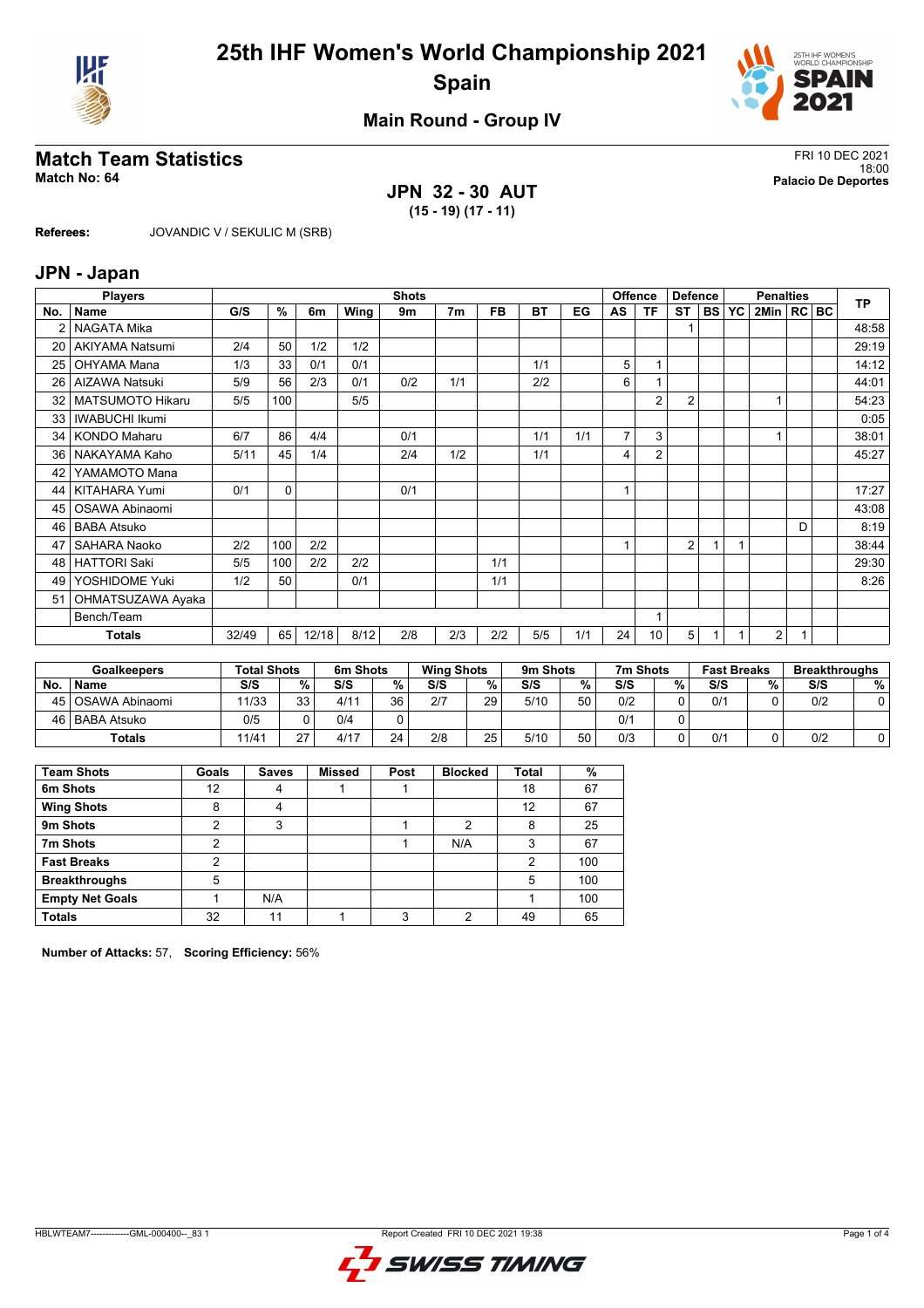



## **Main Round - Group IV**

## **Match Team Statistics** FRI 10 DEC 2021

**JPN 32 - 30 AUT (15 - 19) (17 - 11)**

18:00 **Match No: 64 Palacio De Deportes**

**Referees:** JOVANDIC V / SEKULIC M (SRB)

#### **JPN - Japan**

|     | <b>Players</b>          |       | <b>Shots</b> |       |      |     |                |           |           |     |                | Offence<br><b>Defence</b> |           |           |           | <b>TP</b>      |   |  |       |
|-----|-------------------------|-------|--------------|-------|------|-----|----------------|-----------|-----------|-----|----------------|---------------------------|-----------|-----------|-----------|----------------|---|--|-------|
| No. | Name                    | G/S   | %            | 6m    | Wing | 9m  | 7 <sub>m</sub> | <b>FB</b> | <b>BT</b> | EG  | AS             | ΤF                        | <b>ST</b> | <b>BS</b> | <b>YC</b> | 2Min   RC   BC |   |  |       |
|     | NAGATA Mika             |       |              |       |      |     |                |           |           |     |                |                           |           |           |           |                |   |  | 48:58 |
| 20  | <b>AKIYAMA Natsumi</b>  | 2/4   | 50           | 1/2   | 1/2  |     |                |           |           |     |                |                           |           |           |           |                |   |  | 29:19 |
| 25  | OHYAMA Mana             | 1/3   | 33           | 0/1   | 0/1  |     |                |           | 1/1       |     | 5              |                           |           |           |           |                |   |  | 14:12 |
| 26  | <b>AIZAWA Natsuki</b>   | 5/9   | 56           | 2/3   | 0/1  | 0/2 | 1/1            |           | 2/2       |     | 6              |                           |           |           |           |                |   |  | 44:01 |
| 32  | <b>MATSUMOTO Hikaru</b> | 5/5   | 100          |       | 5/5  |     |                |           |           |     |                | $\overline{2}$            | 2         |           |           |                |   |  | 54:23 |
| 33  | <b>IWABUCHI Ikumi</b>   |       |              |       |      |     |                |           |           |     |                |                           |           |           |           |                |   |  | 0:05  |
| 34  | <b>KONDO Maharu</b>     | 6/7   | 86           | 4/4   |      | 0/1 |                |           | 1/1       | 1/1 | $\overline{7}$ | 3                         |           |           |           |                |   |  | 38:01 |
| 36  | NAKAYAMA Kaho           | 5/11  | 45           | 1/4   |      | 2/4 | 1/2            |           | 1/1       |     | 4              | $\overline{2}$            |           |           |           |                |   |  | 45:27 |
| 42  | YAMAMOTO Mana           |       |              |       |      |     |                |           |           |     |                |                           |           |           |           |                |   |  |       |
| 44  | <b>KITAHARA Yumi</b>    | 0/1   | 0            |       |      | 0/1 |                |           |           |     |                |                           |           |           |           |                |   |  | 17:27 |
| 45  | OSAWA Abinaomi          |       |              |       |      |     |                |           |           |     |                |                           |           |           |           |                |   |  | 43:08 |
| 46  | <b>BABA Atsuko</b>      |       |              |       |      |     |                |           |           |     |                |                           |           |           |           |                | D |  | 8:19  |
| 47  | <b>SAHARA Naoko</b>     | 2/2   | 100          | 2/2   |      |     |                |           |           |     |                |                           | 2         |           |           |                |   |  | 38:44 |
| 48  | <b>HATTORI Saki</b>     | 5/5   | 100          | 2/2   | 2/2  |     |                | 1/1       |           |     |                |                           |           |           |           |                |   |  | 29:30 |
| 49  | YOSHIDOME Yuki          | 1/2   | 50           |       | 0/1  |     |                | 1/1       |           |     |                |                           |           |           |           |                |   |  | 8:26  |
| 51  | OHMATSUZAWA Ayaka       |       |              |       |      |     |                |           |           |     |                |                           |           |           |           |                |   |  |       |
|     | Bench/Team              |       |              |       |      |     |                |           |           |     |                |                           |           |           |           |                |   |  |       |
|     | Totals                  | 32/49 | 65           | 12/18 | 8/12 | 2/8 | 2/3            | 2/2       | 5/5       | 1/1 | 24             | 10                        | 5         |           |           | 2              | 1 |  |       |

| <b>Goalkeepers</b> |                  | <b>Total Shots</b> |          | 6m Shots |    | <b>Wing Shots</b> |    | 9m Shots |    | 7m Shots |   | <b>Fast Breaks</b> |   | <b>Breakthroughs</b> |   |
|--------------------|------------------|--------------------|----------|----------|----|-------------------|----|----------|----|----------|---|--------------------|---|----------------------|---|
| No.                | <b>Name</b>      | S/S                | %        | S/S      | %  | S/S               | %  | S/S      | %  | S/S      | % | S/S                | % | S/S                  | % |
| 45 l               | l OSAWA Abinaomi | 11/33              | 33<br>ບບ | 4/11     | 36 | 2/7               | 29 | 5/10     | 50 | 0/2      |   | 0/1                |   | 0/2                  |   |
| 46'                | BABA Atsuko      | 0/5                |          | 0/4      |    |                   |    |          |    | 0/1      |   |                    |   |                      |   |
|                    | Totals           | 11/41              | 27       | 4/17     | 24 | 2/8               | 25 | 5/10     | 50 | 0/3      |   | 0/1                |   | 0/2                  |   |

| <b>Team Shots</b>      | Goals | <b>Saves</b> | <b>Missed</b> | Post | <b>Blocked</b> | <b>Total</b> | %   |
|------------------------|-------|--------------|---------------|------|----------------|--------------|-----|
| 6m Shots               | 12    | 4            |               |      |                | 18           | 67  |
| <b>Wing Shots</b>      | 8     | 4            |               |      |                | 12           | 67  |
| 9m Shots               | っ     | 3            |               |      | っ              | 8            | 25  |
| 7m Shots               | 2     |              |               |      | N/A            | 3            | 67  |
| <b>Fast Breaks</b>     | າ     |              |               |      |                | 2            | 100 |
| <b>Breakthroughs</b>   | 5     |              |               |      |                | 5            | 100 |
| <b>Empty Net Goals</b> |       | N/A          |               |      |                |              | 100 |
| <b>Totals</b>          | 32    | 11           |               | 3    | ∩              | 49           | 65  |

**Number of Attacks:** 57, **Scoring Efficiency:** 56%

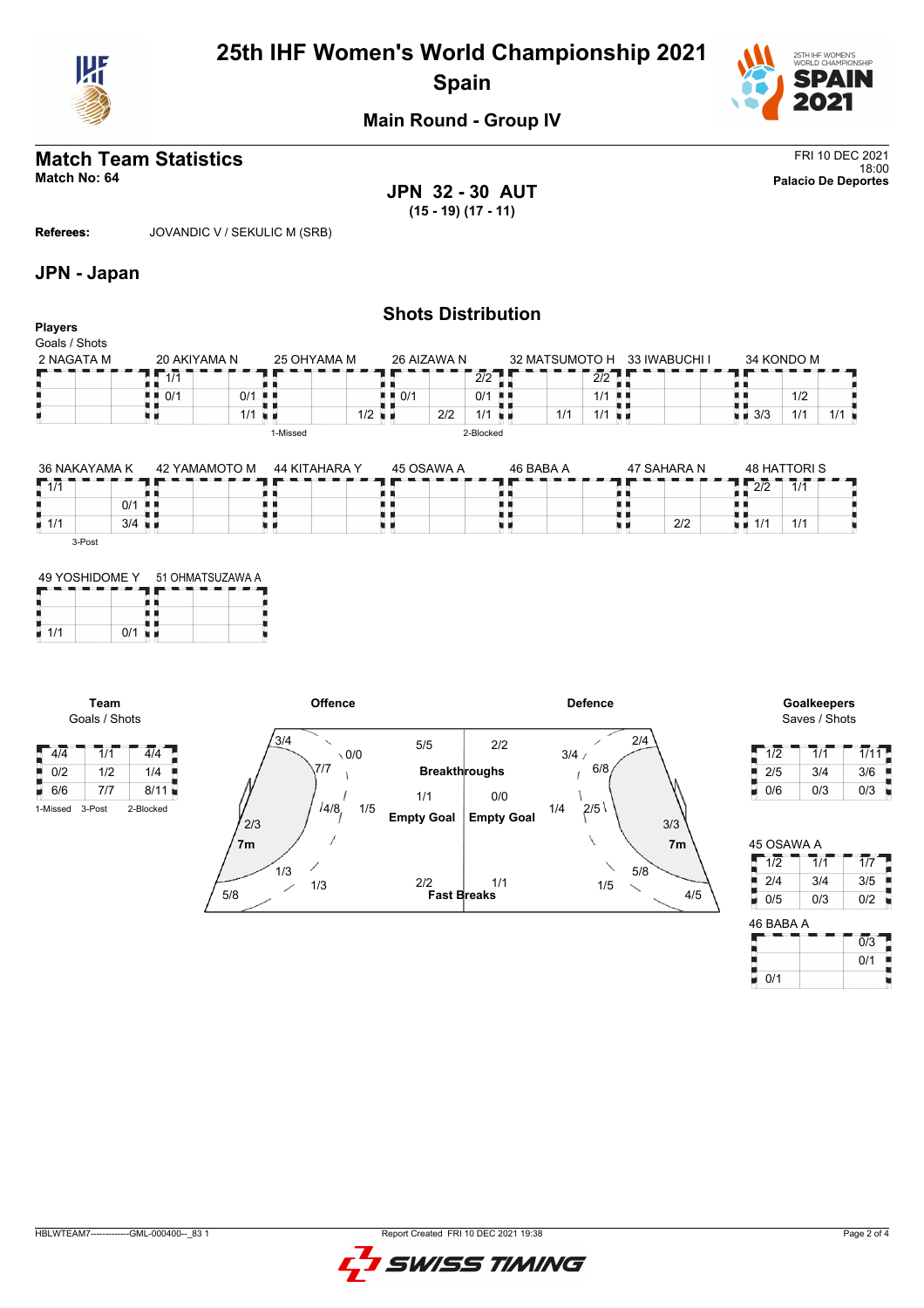

# **25th IHF Women's World Championship 2021 Spain**



## **Main Round - Group IV**

## **Match Team Statistics** FRI 10 DEC 2021

18:00 **Match No: 64 Palacio De Deportes JPN 32 - 30 AUT (15 - 19) (17 - 11)**

**Referees:** JOVANDIC V / SEKULIC M (SRB)

#### **JPN - Japan**

|                                 |                    |     |                      |                                   |             | <b>Shots Distribution</b> |                |                        |               |                    |                     |     |
|---------------------------------|--------------------|-----|----------------------|-----------------------------------|-------------|---------------------------|----------------|------------------------|---------------|--------------------|---------------------|-----|
| <b>Players</b><br>Goals / Shots |                    |     |                      |                                   |             |                           |                |                        |               |                    |                     |     |
| 2 NAGATA M                      | 20 AKIYAMA N       |     | 25 OHYAMA M          |                                   | 26 AIZAWA N |                           | 32 MATSUMOTO H |                        | 33 IWABUCHI I |                    | 34 KONDO M          |     |
|                                 | 1/1                |     |                      |                                   |             | 2/2                       |                | 2/2                    |               |                    |                     |     |
|                                 | $\blacksquare$ 0/1 | 0/1 | . .                  | $\blacksquare$ $\blacksquare$ 0/1 |             | 0/1<br>-88                |                | 1/1<br>-8.5            |               |                    | 1/2                 |     |
|                                 |                    | 1/1 | n e                  | $1/2$ $\blacksquare$              | 2/2         | $1/1$ $\blacksquare$      | 1/1            | $1/1$ u $\blacksquare$ |               | $\blacksquare$ 3/3 | 1/1                 | 1/1 |
|                                 |                    |     | 1-Missed             |                                   |             | 2-Blocked                 |                |                        |               |                    |                     |     |
|                                 |                    |     |                      |                                   |             |                           |                |                        |               |                    |                     |     |
| 36 NAKAYAMA K                   | 42 YAMAMOTO M      |     | <b>44 KITAHARA Y</b> |                                   | 45 OSAWA A  |                           | 46 BABA A      |                        | 47 SAHARA N   |                    | <b>48 HATTORI S</b> |     |

| 36 NAKAYAMA K      |     | 42 YAMAMOTO M | 44 KITAHARA Y | 45 OSAWA A | 46 BABA A | 47 SAHARA N | 48 HATTORIS                          |
|--------------------|-----|---------------|---------------|------------|-----------|-------------|--------------------------------------|
| $-111$             |     |               |               |            |           |             | רור<br>111<br>ے رے<br>. <i>. .</i> . |
|                    | 0/1 | . .           |               |            |           |             |                                      |
| $\blacksquare$ 1/1 | 3/4 |               |               |            |           | 2/2         | 414<br>1/1                           |
| 3-Post             |     |               |               |            |           |             |                                      |

|     | 49 YOSHIDOME Y | 51 OHMATSUZAWA A |  |  |  |  |  |  |
|-----|----------------|------------------|--|--|--|--|--|--|
|     |                |                  |  |  |  |  |  |  |
|     |                |                  |  |  |  |  |  |  |
| 1/1 | $\Omega$ /1    |                  |  |  |  |  |  |  |

**Team** Goals / Shots



Saves / Shots

| 1/2 | 1/1 | 1/11 |
|-----|-----|------|
| 2/5 | 3/4 | 3/6  |
| 0/6 | 0/3 | 0/3  |

| 45 OSAWA A            |     |     |
|-----------------------|-----|-----|
| 1/2                   | 1/1 | 1/7 |
| 2/4                   | 3/4 | 3/5 |
| 0/5                   | 0/3 | 0/2 |
| $AC$ $D$ $AD$ $A$ $A$ |     |     |

| 1/2       | $\overline{1/1}$ | $\overline{1}/\overline{7}$ |
|-----------|------------------|-----------------------------|
| 2/4       | 3/4              | 3/5                         |
| y<br>0/5  | 0/3              | 0/2                         |
| 46 BABA A |                  |                             |
|           |                  | $\overline{0}/3$            |
|           |                  | 0/1                         |
| 0/1       |                  |                             |

HBLWTEAM7-------------GML-000400--\_83 1 Report Created FRI 10 DEC 2021 19:38

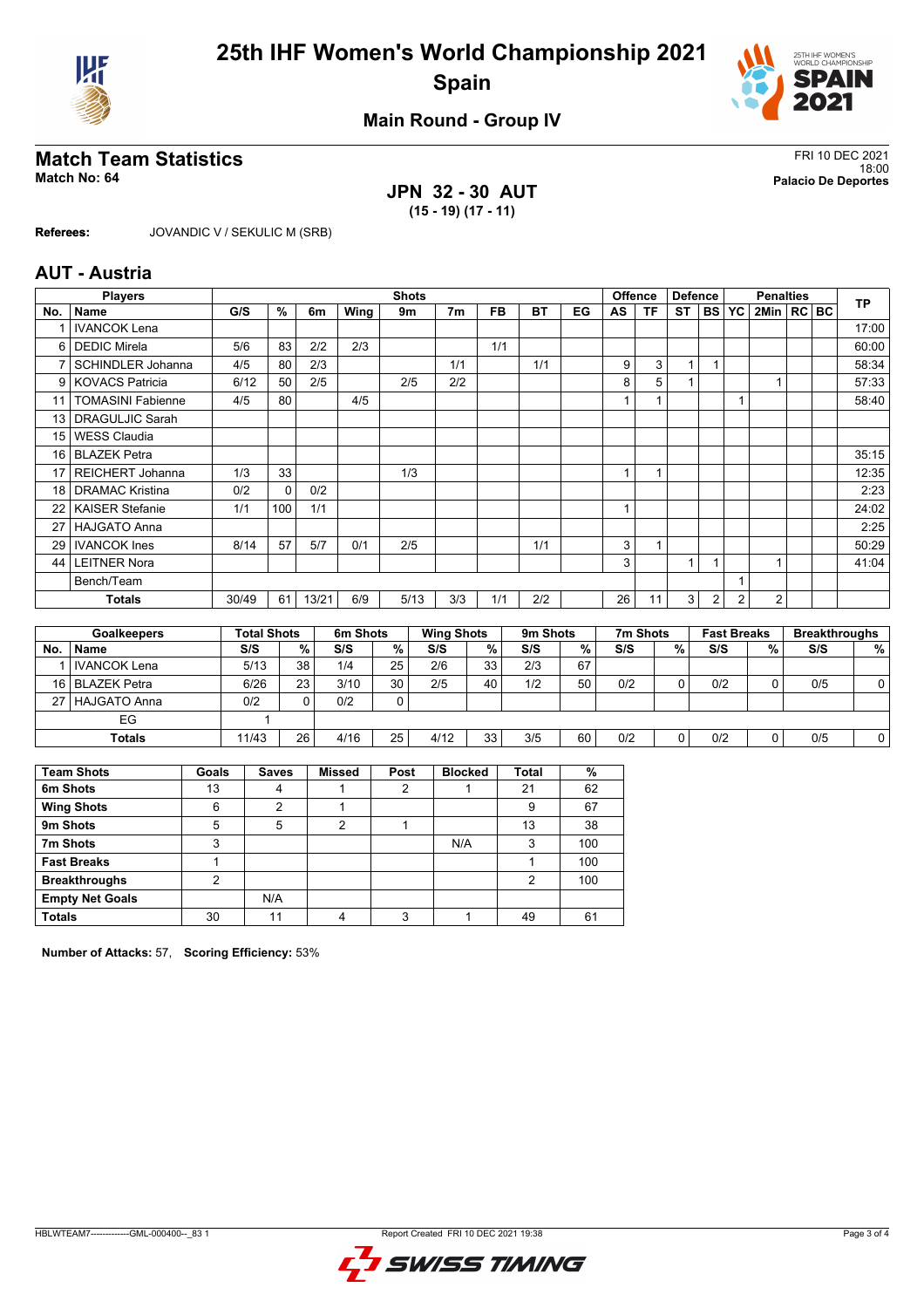



## **Main Round - Group IV**

## **Match Team Statistics** FRI 10 DEC 2021

**JPN 32 - 30 AUT (15 - 19) (17 - 11)**

18:00 **Match No: 64 Palacio De Deportes**

**Referees:** JOVANDIC V / SEKULIC M (SRB)

#### **AUT - Austria**

| <b>Players</b><br><b>Shots</b> |                          |       |              |       |      |      |                | <b>Offence</b> | <b>Defence</b> |    |                | <b>Penalties</b> | <b>TP</b> |           |           |                |  |       |
|--------------------------------|--------------------------|-------|--------------|-------|------|------|----------------|----------------|----------------|----|----------------|------------------|-----------|-----------|-----------|----------------|--|-------|
| No.                            | <b>Name</b>              | G/S   | $\%$         | 6m    | Wing | 9m   | 7 <sub>m</sub> | <b>FB</b>      | BT             | EG | AS             | ΤF               | ST        | <b>BS</b> | <b>YC</b> | 2Min   RC BC   |  |       |
|                                | <b>IVANCOK Lena</b>      |       |              |       |      |      |                |                |                |    |                |                  |           |           |           |                |  | 17:00 |
| $6 \mid$                       | <b>DEDIC Mirela</b>      | 5/6   | 83           | 2/2   | 2/3  |      |                | 1/1            |                |    |                |                  |           |           |           |                |  | 60:00 |
| 7                              | <b>SCHINDLER Johanna</b> | 4/5   | 80           | 2/3   |      |      | 1/1            |                | 1/1            |    | 9              | 3                | 1         |           |           |                |  | 58:34 |
| 9                              | <b>KOVACS Patricia</b>   | 6/12  | 50           | 2/5   |      | 2/5  | 2/2            |                |                |    | 8              | 5                |           |           |           |                |  | 57:33 |
| 11                             | <b>TOMASINI Fabienne</b> | 4/5   | 80           |       | 4/5  |      |                |                |                |    |                |                  |           |           |           |                |  | 58:40 |
| 13 <sup>1</sup>                | <b>DRAGULJIC Sarah</b>   |       |              |       |      |      |                |                |                |    |                |                  |           |           |           |                |  |       |
| 15 <sup>1</sup>                | WESS Claudia             |       |              |       |      |      |                |                |                |    |                |                  |           |           |           |                |  |       |
| 16 <sup>1</sup>                | l BLAZEK Petra           |       |              |       |      |      |                |                |                |    |                |                  |           |           |           |                |  | 35:15 |
| 17 <sup>1</sup>                | REICHERT Johanna         | 1/3   | 33           |       |      | 1/3  |                |                |                |    |                |                  |           |           |           |                |  | 12:35 |
| 18 <sup>1</sup>                | <b>DRAMAC Kristina</b>   | 0/2   | $\mathbf{0}$ | 0/2   |      |      |                |                |                |    |                |                  |           |           |           |                |  | 2:23  |
| 22                             | <b>KAISER Stefanie</b>   | 1/1   | 100          | 1/1   |      |      |                |                |                |    | $\overline{A}$ |                  |           |           |           |                |  | 24:02 |
| 27                             | <b>HAJGATO Anna</b>      |       |              |       |      |      |                |                |                |    |                |                  |           |           |           |                |  | 2:25  |
| 29 <sub>1</sub>                | <b>IVANCOK</b> Ines      | 8/14  | 57           | 5/7   | 0/1  | 2/5  |                |                | 1/1            |    | 3              |                  |           |           |           |                |  | 50:29 |
| 44                             | <b>LEITNER Nora</b>      |       |              |       |      |      |                |                |                |    | 3              |                  | 1         |           |           |                |  | 41:04 |
|                                | Bench/Team               |       |              |       |      |      |                |                |                |    |                |                  |           |           |           |                |  |       |
|                                | <b>Totals</b>            | 30/49 | 61           | 13/21 | 6/9  | 5/13 | 3/3            | 1/1            | 2/2            |    | 26             | 11               | 3         | 2         | 2         | $\overline{2}$ |  |       |

|     | <b>Goalkeepers</b> | <b>Total Shots</b> |    | 6m Shots |    | <b>Wing Shots</b> |    | 9m Shots |    | 7m Shots |   | <b>Fast Breaks</b> |   | <b>Breakthroughs</b> |   |
|-----|--------------------|--------------------|----|----------|----|-------------------|----|----------|----|----------|---|--------------------|---|----------------------|---|
| No. | <b>Name</b>        | S/S                | %  | S/S      | %  | S/S               | %  | S/S      | %  | S/S      | % | S/S                | % | S/S                  | % |
|     | l IVANCOK Lena     | 5/13               | 38 | 1/4      | 25 | 2/6               | 33 | 2/3      | 67 |          |   |                    |   |                      |   |
|     | 16 BLAZEK Petra    | 6/26               | 23 | 3/10     | 30 | 2/5               | 40 | 1/2      | 50 | 0/2      | 0 | 0/2                |   | 0/5                  |   |
|     | 27   HAJGATO Anna  | 0/2                |    | 0/2      |    |                   |    |          |    |          |   |                    |   |                      |   |
|     | EG                 |                    |    |          |    |                   |    |          |    |          |   |                    |   |                      |   |
|     | <b>Totals</b>      | 11/43              | 26 | 4/16     | 25 | 4/12              | 33 | 3/5      | 60 | 0/2      | 0 | 0/2                |   | 0/5                  | 0 |

| <b>Team Shots</b>      | Goals | <b>Saves</b> | <b>Missed</b> | Post | <b>Blocked</b> | <b>Total</b> | %   |
|------------------------|-------|--------------|---------------|------|----------------|--------------|-----|
| 6m Shots               | 13    | 4            |               | 2    |                | 21           | 62  |
| <b>Wing Shots</b>      | 6     | っ            |               |      |                | 9            | 67  |
| 9m Shots               | 5     | 5            | 2             |      |                | 13           | 38  |
| 7m Shots               | 3     |              |               |      | N/A            | 3            | 100 |
| <b>Fast Breaks</b>     |       |              |               |      |                |              | 100 |
| <b>Breakthroughs</b>   | っ     |              |               |      |                | 2            | 100 |
| <b>Empty Net Goals</b> |       | N/A          |               |      |                |              |     |
| <b>Totals</b>          | 30    | 11           |               | 3    |                | 49           | 61  |

**Number of Attacks:** 57, **Scoring Efficiency:** 53%